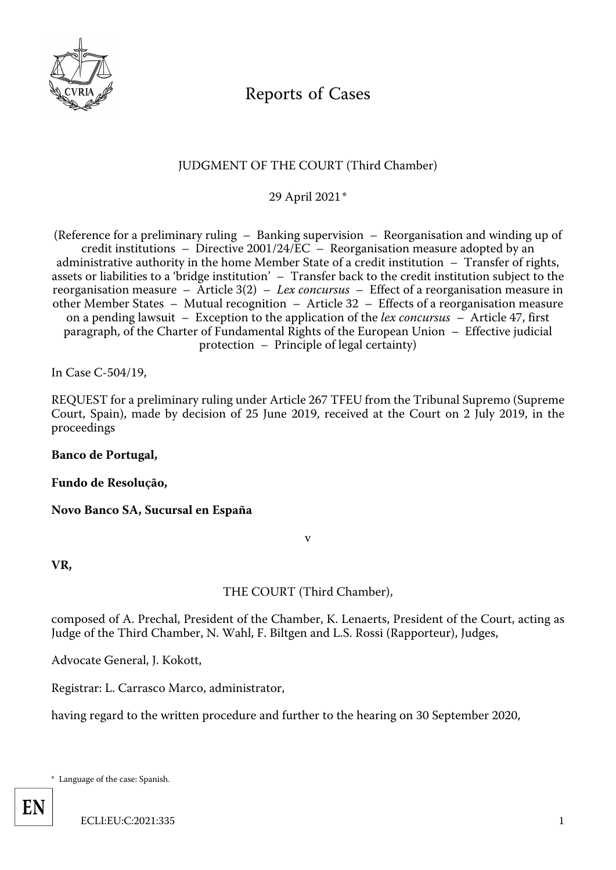

# Reports of Cases

# JUDGMENT OF THE COURT (Third Chamber)

29 April 2021[\\*](#page-0-0)

<span id="page-0-1"></span>(Reference for a preliminary ruling – Banking supervision – Reorganisation and winding up of credit institutions – Directive 2001/24/EC – Reorganisation measure adopted by an administrative authority in the home Member State of a credit institution – Transfer of rights, assets or liabilities to a 'bridge institution' – Transfer back to the credit institution subject to the reorganisation measure – Article 3(2) – *Lex concursus* – Effect of a reorganisation measure in other Member States – Mutual recognition – Article 32 – Effects of a reorganisation measure on a pending lawsuit – Exception to the application of the *lex concursus* – Article 47, first paragraph, of the Charter of Fundamental Rights of the European Union – Effective judicial protection – Principle of legal certainty)

In Case C-504/19,

REQUEST for a preliminary ruling under Article 267 TFEU from the Tribunal Supremo (Supreme Court, Spain), made by decision of 25 June 2019, received at the Court on 2 July 2019, in the proceedings

## **Banco de Portugal,**

#### **Fundo de Resolução,**

**Novo Banco SA, Sucursal en España**

v

**VR,**

THE COURT (Third Chamber),

composed of A. Prechal, President of the Chamber, K. Lenaerts, President of the Court, acting as Judge of the Third Chamber, N. Wahl, F. Biltgen and L.S. Rossi (Rapporteur), Judges,

Advocate General, J. Kokott,

Registrar: L. Carrasco Marco, administrator,

having regard to the written procedure and further to the hearing on 30 September 2020,

<span id="page-0-0"></span>[\\* L](#page-0-1)anguage of the case: Spanish.

**EN**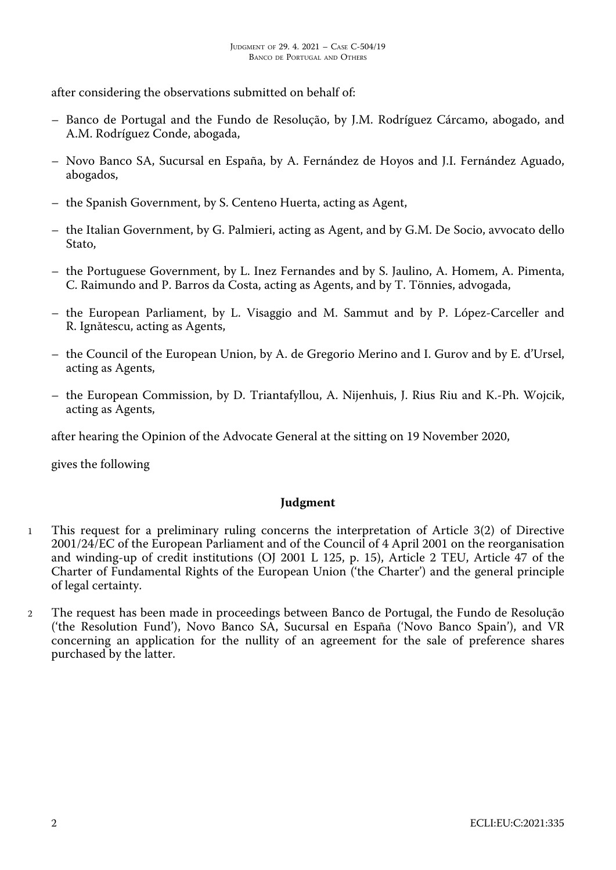after considering the observations submitted on behalf of:

- Banco de Portugal and the Fundo de Resolução, by J.M. Rodríguez Cárcamo, abogado, and A.M. Rodríguez Conde, abogada,
- Novo Banco SA, Sucursal en España, by A. Fernández de Hoyos and J.I. Fernández Aguado, abogados,
- the Spanish Government, by S. Centeno Huerta, acting as Agent,
- the Italian Government, by G. Palmieri, acting as Agent, and by G.M. De Socio, avvocato dello Stato,
- the Portuguese Government, by L. Inez Fernandes and by S. Jaulino, A. Homem, A. Pimenta, C. Raimundo and P. Barros da Costa, acting as Agents, and by T. Tönnies, advogada,
- the European Parliament, by L. Visaggio and M. Sammut and by P. López-Carceller and R. Ignătescu, acting as Agents,
- the Council of the European Union, by A. de Gregorio Merino and I. Gurov and by E. d'Ursel, acting as Agents,
- the European Commission, by D. Triantafyllou, A. Nijenhuis, J. Rius Riu and K.-Ph. Wojcik, acting as Agents,

after hearing the Opinion of the Advocate General at the sitting on 19 November 2020,

gives the following

#### **Judgment**

- 1 This request for a preliminary ruling concerns the interpretation of Article 3(2) of Directive 2001/24/EC of the European Parliament and of the Council of 4 April 2001 on the reorganisation and winding-up of credit institutions (OJ 2001 L 125, p. 15), Article 2 TEU, Article 47 of the Charter of Fundamental Rights of the European Union ('the Charter') and the general principle of legal certainty.
- 2 The request has been made in proceedings between Banco de Portugal, the Fundo de Resolução ('the Resolution Fund'), Novo Banco SA, Sucursal en España ('Novo Banco Spain'), and VR concerning an application for the nullity of an agreement for the sale of preference shares purchased by the latter.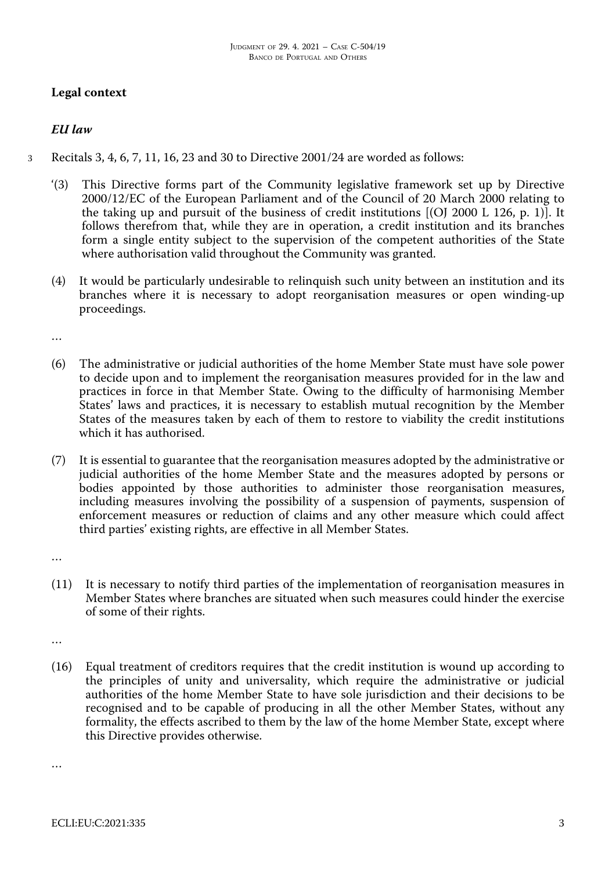# **Legal context**

# *EU law*

- 3 Recitals 3, 4, 6, 7, 11, 16, 23 and 30 to Directive 2001/24 are worded as follows:
	- '(3) This Directive forms part of the Community legislative framework set up by Directive 2000/12/EC of the European Parliament and of the Council of 20 March 2000 relating to the taking up and pursuit of the business of credit institutions  $[O]$  2000 L 126, p. 1). It follows therefrom that, while they are in operation, a credit institution and its branches form a single entity subject to the supervision of the competent authorities of the State where authorisation valid throughout the Community was granted.
	- (4) It would be particularly undesirable to relinquish such unity between an institution and its branches where it is necessary to adopt reorganisation measures or open winding-up proceedings.

…

- (6) The administrative or judicial authorities of the home Member State must have sole power to decide upon and to implement the reorganisation measures provided for in the law and practices in force in that Member State. Owing to the difficulty of harmonising Member States' laws and practices, it is necessary to establish mutual recognition by the Member States of the measures taken by each of them to restore to viability the credit institutions which it has authorised.
- (7) It is essential to guarantee that the reorganisation measures adopted by the administrative or judicial authorities of the home Member State and the measures adopted by persons or bodies appointed by those authorities to administer those reorganisation measures, including measures involving the possibility of a suspension of payments, suspension of enforcement measures or reduction of claims and any other measure which could affect third parties' existing rights, are effective in all Member States.

…

(11) It is necessary to notify third parties of the implementation of reorganisation measures in Member States where branches are situated when such measures could hinder the exercise of some of their rights.

…

(16) Equal treatment of creditors requires that the credit institution is wound up according to the principles of unity and universality, which require the administrative or judicial authorities of the home Member State to have sole jurisdiction and their decisions to be recognised and to be capable of producing in all the other Member States, without any formality, the effects ascribed to them by the law of the home Member State, except where this Directive provides otherwise.

…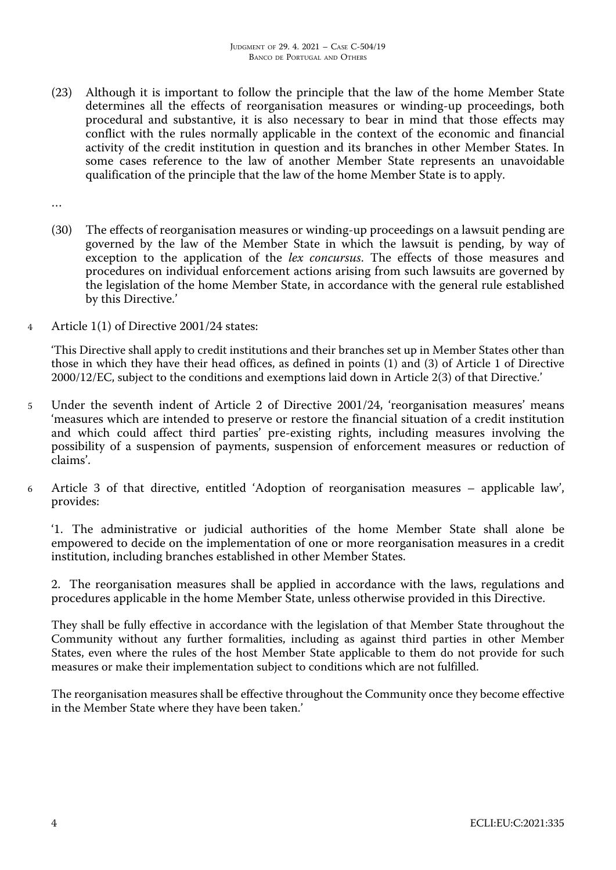(23) Although it is important to follow the principle that the law of the home Member State determines all the effects of reorganisation measures or winding-up proceedings, both procedural and substantive, it is also necessary to bear in mind that those effects may conflict with the rules normally applicable in the context of the economic and financial activity of the credit institution in question and its branches in other Member States. In some cases reference to the law of another Member State represents an unavoidable qualification of the principle that the law of the home Member State is to apply.

…

- (30) The effects of reorganisation measures or winding-up proceedings on a lawsuit pending are governed by the law of the Member State in which the lawsuit is pending, by way of exception to the application of the *lex concursus*. The effects of those measures and procedures on individual enforcement actions arising from such lawsuits are governed by the legislation of the home Member State, in accordance with the general rule established by this Directive.'
- 4 Article 1(1) of Directive 2001/24 states:

'This Directive shall apply to credit institutions and their branches set up in Member States other than those in which they have their head offices, as defined in points (1) and (3) of Article 1 of Directive 2000/12/EC, subject to the conditions and exemptions laid down in Article 2(3) of that Directive.'

- 5 Under the seventh indent of Article 2 of Directive 2001/24, 'reorganisation measures' means 'measures which are intended to preserve or restore the financial situation of a credit institution and which could affect third parties' pre-existing rights, including measures involving the possibility of a suspension of payments, suspension of enforcement measures or reduction of claims'.
- 6 Article 3 of that directive, entitled 'Adoption of reorganisation measures applicable law', provides:

'1. The administrative or judicial authorities of the home Member State shall alone be empowered to decide on the implementation of one or more reorganisation measures in a credit institution, including branches established in other Member States.

2. The reorganisation measures shall be applied in accordance with the laws, regulations and procedures applicable in the home Member State, unless otherwise provided in this Directive.

They shall be fully effective in accordance with the legislation of that Member State throughout the Community without any further formalities, including as against third parties in other Member States, even where the rules of the host Member State applicable to them do not provide for such measures or make their implementation subject to conditions which are not fulfilled.

The reorganisation measures shall be effective throughout the Community once they become effective in the Member State where they have been taken.'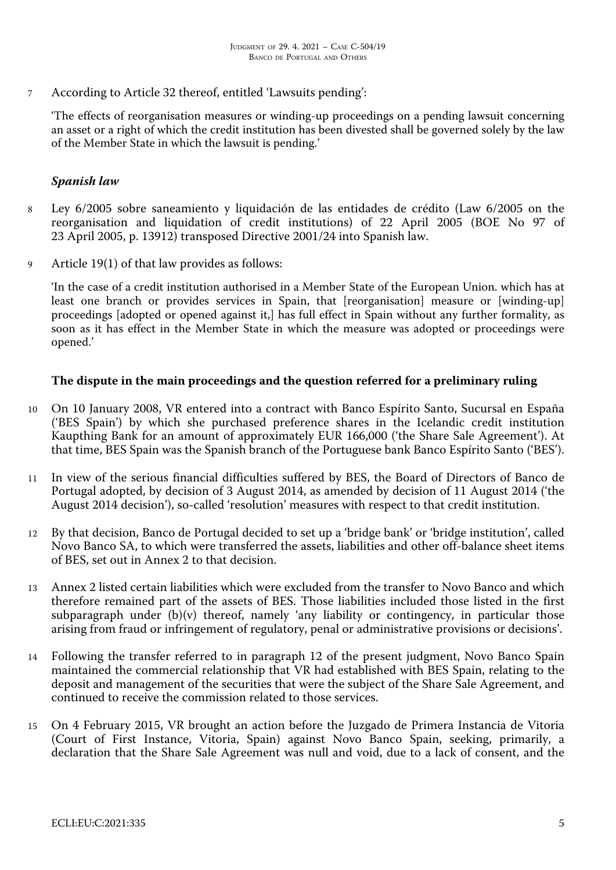7 According to Article 32 thereof, entitled 'Lawsuits pending':

'The effects of reorganisation measures or winding-up proceedings on a pending lawsuit concerning an asset or a right of which the credit institution has been divested shall be governed solely by the law of the Member State in which the lawsuit is pending.'

#### *Spanish law*

- 8 Ley 6/2005 sobre saneamiento y liquidación de las entidades de crédito (Law 6/2005 on the reorganisation and liquidation of credit institutions) of 22 April 2005 (BOE No 97 of 23 April 2005, p. 13912) transposed Directive 2001/24 into Spanish law.
- 9 Article 19(1) of that law provides as follows:

'In the case of a credit institution authorised in a Member State of the European Union. which has at least one branch or provides services in Spain, that [reorganisation] measure or [winding-up] proceedings [adopted or opened against it,] has full effect in Spain without any further formality, as soon as it has effect in the Member State in which the measure was adopted or proceedings were opened.'

#### **The dispute in the main proceedings and the question referred for a preliminary ruling**

- 10 On 10 January 2008, VR entered into a contract with Banco Espírito Santo, Sucursal en España ('BES Spain') by which she purchased preference shares in the Icelandic credit institution Kaupthing Bank for an amount of approximately EUR 166,000 ('the Share Sale Agreement'). At that time, BES Spain was the Spanish branch of the Portuguese bank Banco Espírito Santo ('BES').
- 11 In view of the serious financial difficulties suffered by BES, the Board of Directors of Banco de Portugal adopted, by decision of 3 August 2014, as amended by decision of 11 August 2014 ('the August 2014 decision'), so-called 'resolution' measures with respect to that credit institution.
- 12 By that decision, Banco de Portugal decided to set up a 'bridge bank' or 'bridge institution', called Novo Banco SA, to which were transferred the assets, liabilities and other off-balance sheet items of BES, set out in Annex 2 to that decision.
- 13 Annex 2 listed certain liabilities which were excluded from the transfer to Novo Banco and which therefore remained part of the assets of BES. Those liabilities included those listed in the first subparagraph under (b)(v) thereof, namely 'any liability or contingency, in particular those arising from fraud or infringement of regulatory, penal or administrative provisions or decisions'.
- 14 Following the transfer referred to in paragraph 12 of the present judgment, Novo Banco Spain maintained the commercial relationship that VR had established with BES Spain, relating to the deposit and management of the securities that were the subject of the Share Sale Agreement, and continued to receive the commission related to those services.
- 15 On 4 February 2015, VR brought an action before the Juzgado de Primera Instancia de Vitoria (Court of First Instance, Vitoria, Spain) against Novo Banco Spain, seeking, primarily, a declaration that the Share Sale Agreement was null and void, due to a lack of consent, and the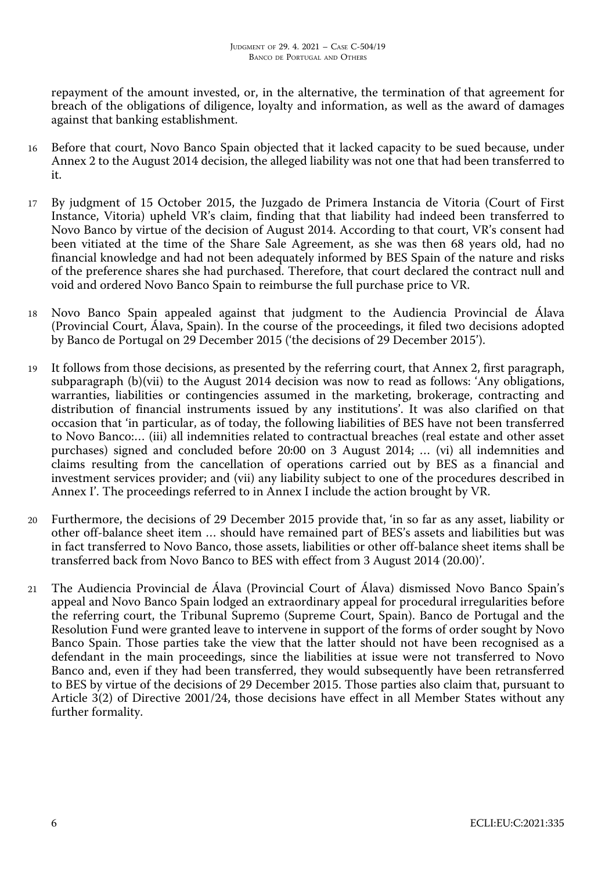repayment of the amount invested, or, in the alternative, the termination of that agreement for breach of the obligations of diligence, loyalty and information, as well as the award of damages against that banking establishment.

- 16 Before that court, Novo Banco Spain objected that it lacked capacity to be sued because, under Annex 2 to the August 2014 decision, the alleged liability was not one that had been transferred to it.
- 17 By judgment of 15 October 2015, the Juzgado de Primera Instancia de Vitoria (Court of First Instance, Vitoria) upheld VR's claim, finding that that liability had indeed been transferred to Novo Banco by virtue of the decision of August 2014. According to that court, VR's consent had been vitiated at the time of the Share Sale Agreement, as she was then 68 years old, had no financial knowledge and had not been adequately informed by BES Spain of the nature and risks of the preference shares she had purchased. Therefore, that court declared the contract null and void and ordered Novo Banco Spain to reimburse the full purchase price to VR.
- 18 Novo Banco Spain appealed against that judgment to the Audiencia Provincial de Álava (Provincial Court, Álava, Spain). In the course of the proceedings, it filed two decisions adopted by Banco de Portugal on 29 December 2015 ('the decisions of 29 December 2015').
- It follows from those decisions, as presented by the referring court, that Annex 2, first paragraph, subparagraph (b)(vii) to the August 2014 decision was now to read as follows: 'Any obligations, warranties, liabilities or contingencies assumed in the marketing, brokerage, contracting and distribution of financial instruments issued by any institutions'. It was also clarified on that occasion that 'in particular, as of today, the following liabilities of BES have not been transferred to Novo Banco:… (iii) all indemnities related to contractual breaches (real estate and other asset purchases) signed and concluded before 20:00 on 3 August 2014; … (vi) all indemnities and claims resulting from the cancellation of operations carried out by BES as a financial and investment services provider; and (vii) any liability subject to one of the procedures described in Annex I'. The proceedings referred to in Annex I include the action brought by VR.
- 20 Furthermore, the decisions of 29 December 2015 provide that, 'in so far as any asset, liability or other off-balance sheet item … should have remained part of BES's assets and liabilities but was in fact transferred to Novo Banco, those assets, liabilities or other off-balance sheet items shall be transferred back from Novo Banco to BES with effect from 3 August 2014 (20.00)'.
- 21 The Audiencia Provincial de Álava (Provincial Court of Álava) dismissed Novo Banco Spain's appeal and Novo Banco Spain lodged an extraordinary appeal for procedural irregularities before the referring court, the Tribunal Supremo (Supreme Court, Spain). Banco de Portugal and the Resolution Fund were granted leave to intervene in support of the forms of order sought by Novo Banco Spain. Those parties take the view that the latter should not have been recognised as a defendant in the main proceedings, since the liabilities at issue were not transferred to Novo Banco and, even if they had been transferred, they would subsequently have been retransferred to BES by virtue of the decisions of 29 December 2015. Those parties also claim that, pursuant to Article 3(2) of Directive 2001/24, those decisions have effect in all Member States without any further formality.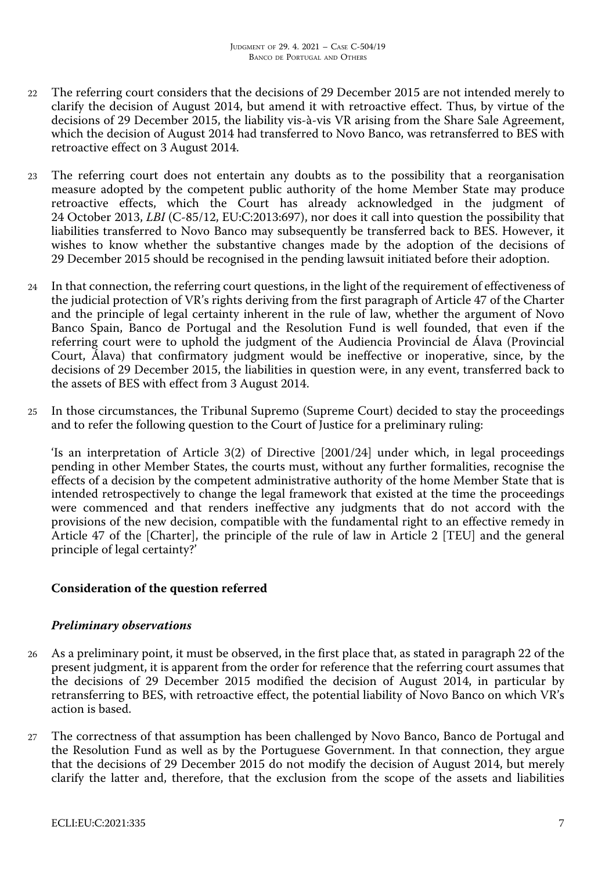- 22 The referring court considers that the decisions of 29 December 2015 are not intended merely to clarify the decision of August 2014, but amend it with retroactive effect. Thus, by virtue of the decisions of 29 December 2015, the liability vis-à-vis VR arising from the Share Sale Agreement, which the decision of August 2014 had transferred to Novo Banco, was retransferred to BES with retroactive effect on 3 August 2014.
- 23 The referring court does not entertain any doubts as to the possibility that a reorganisation measure adopted by the competent public authority of the home Member State may produce retroactive effects, which the Court has already acknowledged in the judgment of 24 October 2013, *LBI* (C-85/12, EU:C:2013:697), nor does it call into question the possibility that liabilities transferred to Novo Banco may subsequently be transferred back to BES. However, it wishes to know whether the substantive changes made by the adoption of the decisions of 29 December 2015 should be recognised in the pending lawsuit initiated before their adoption.
- 24 In that connection, the referring court questions, in the light of the requirement of effectiveness of the judicial protection of VR's rights deriving from the first paragraph of Article 47 of the Charter and the principle of legal certainty inherent in the rule of law, whether the argument of Novo Banco Spain, Banco de Portugal and the Resolution Fund is well founded, that even if the referring court were to uphold the judgment of the Audiencia Provincial de Álava (Provincial Court, Álava) that confirmatory judgment would be ineffective or inoperative, since, by the decisions of 29 December 2015, the liabilities in question were, in any event, transferred back to the assets of BES with effect from 3 August 2014.
- 25 In those circumstances, the Tribunal Supremo (Supreme Court) decided to stay the proceedings and to refer the following question to the Court of Justice for a preliminary ruling:

'Is an interpretation of Article 3(2) of Directive [2001/24] under which, in legal proceedings pending in other Member States, the courts must, without any further formalities, recognise the effects of a decision by the competent administrative authority of the home Member State that is intended retrospectively to change the legal framework that existed at the time the proceedings were commenced and that renders ineffective any judgments that do not accord with the provisions of the new decision, compatible with the fundamental right to an effective remedy in Article 47 of the [Charter], the principle of the rule of law in Article 2 [TEU] and the general principle of legal certainty?'

## **Consideration of the question referred**

## *Preliminary observations*

- 26 As a preliminary point, it must be observed, in the first place that, as stated in paragraph 22 of the present judgment, it is apparent from the order for reference that the referring court assumes that the decisions of 29 December 2015 modified the decision of August 2014, in particular by retransferring to BES, with retroactive effect, the potential liability of Novo Banco on which VR's action is based.
- 27 The correctness of that assumption has been challenged by Novo Banco, Banco de Portugal and the Resolution Fund as well as by the Portuguese Government. In that connection, they argue that the decisions of 29 December 2015 do not modify the decision of August 2014, but merely clarify the latter and, therefore, that the exclusion from the scope of the assets and liabilities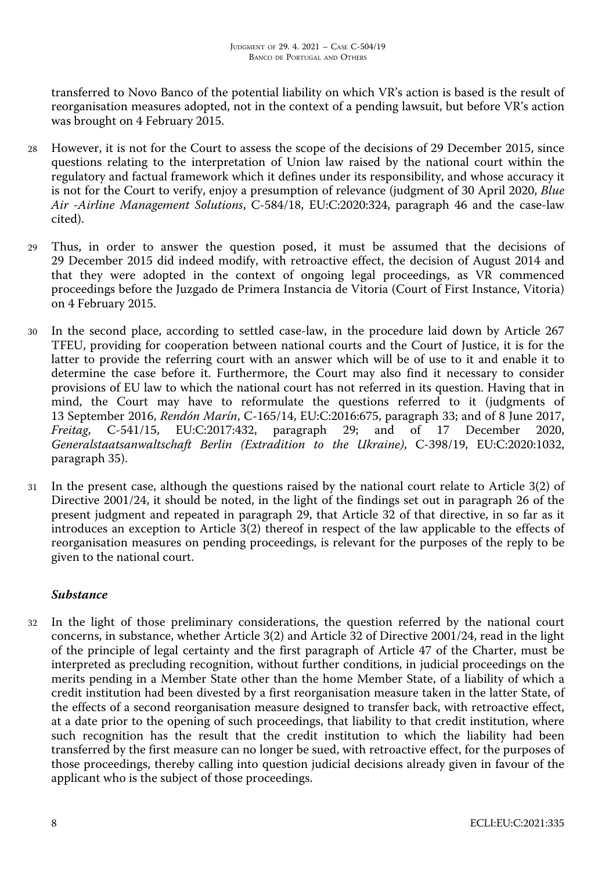transferred to Novo Banco of the potential liability on which VR's action is based is the result of reorganisation measures adopted, not in the context of a pending lawsuit, but before VR's action was brought on 4 February 2015.

- 28 However, it is not for the Court to assess the scope of the decisions of 29 December 2015, since questions relating to the interpretation of Union law raised by the national court within the regulatory and factual framework which it defines under its responsibility, and whose accuracy it is not for the Court to verify, enjoy a presumption of relevance (judgment of 30 April 2020, *Blue Air -Airline Management Solutions*, C-584/18, EU:C:2020:324, paragraph 46 and the case-law cited).
- 29 Thus, in order to answer the question posed, it must be assumed that the decisions of 29 December 2015 did indeed modify, with retroactive effect, the decision of August 2014 and that they were adopted in the context of ongoing legal proceedings, as VR commenced proceedings before the Juzgado de Primera Instancia de Vitoria (Court of First Instance, Vitoria) on 4 February 2015.
- 30 In the second place, according to settled case-law, in the procedure laid down by Article 267 TFEU, providing for cooperation between national courts and the Court of Justice, it is for the latter to provide the referring court with an answer which will be of use to it and enable it to determine the case before it. Furthermore, the Court may also find it necessary to consider provisions of EU law to which the national court has not referred in its question. Having that in mind, the Court may have to reformulate the questions referred to it (judgments of 13 September 2016, *Rendón Marín*, C-165/14, EU:C:2016:675, paragraph 33; and of 8 June 2017, *Freitag*, C-541/15, EU:C:2017:432, paragraph 29; and of 17 December 2020, *Generalstaatsanwaltschaft Berlin (Extradition to the Ukraine)*, C-398/19, EU:C:2020:1032, paragraph 35).
- 31 In the present case, although the questions raised by the national court relate to Article 3(2) of Directive 2001/24, it should be noted, in the light of the findings set out in paragraph 26 of the present judgment and repeated in paragraph 29, that Article 32 of that directive, in so far as it introduces an exception to Article 3(2) thereof in respect of the law applicable to the effects of reorganisation measures on pending proceedings, is relevant for the purposes of the reply to be given to the national court.

# *Substance*

32 In the light of those preliminary considerations, the question referred by the national court concerns, in substance, whether Article 3(2) and Article 32 of Directive 2001/24, read in the light of the principle of legal certainty and the first paragraph of Article 47 of the Charter, must be interpreted as precluding recognition, without further conditions, in judicial proceedings on the merits pending in a Member State other than the home Member State, of a liability of which a credit institution had been divested by a first reorganisation measure taken in the latter State, of the effects of a second reorganisation measure designed to transfer back, with retroactive effect, at a date prior to the opening of such proceedings, that liability to that credit institution, where such recognition has the result that the credit institution to which the liability had been transferred by the first measure can no longer be sued, with retroactive effect, for the purposes of those proceedings, thereby calling into question judicial decisions already given in favour of the applicant who is the subject of those proceedings.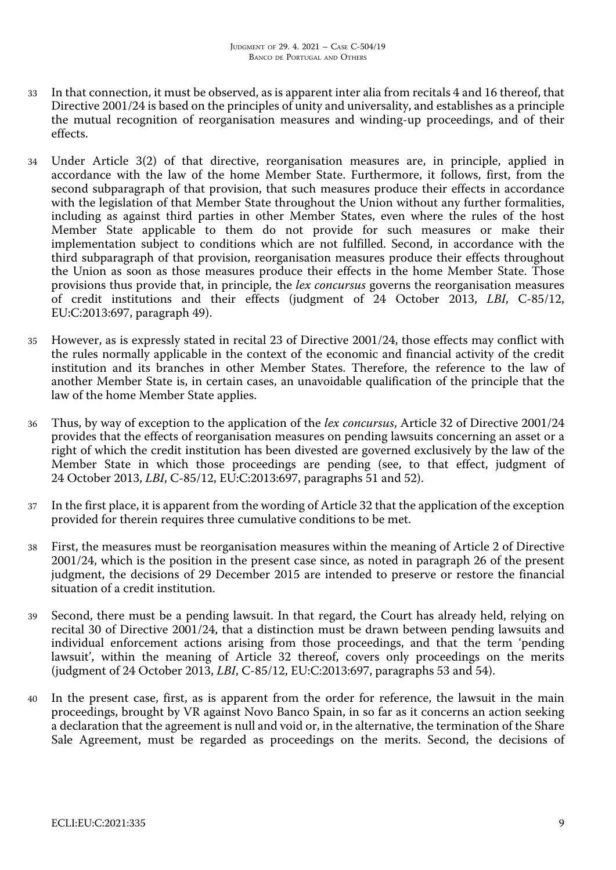- 33 In that connection, it must be observed, as is apparent inter alia from recitals 4 and 16 thereof, that Directive 2001/24 is based on the principles of unity and universality, and establishes as a principle the mutual recognition of reorganisation measures and winding-up proceedings, and of their effects.
- 34 Under Article 3(2) of that directive, reorganisation measures are, in principle, applied in accordance with the law of the home Member State. Furthermore, it follows, first, from the second subparagraph of that provision, that such measures produce their effects in accordance with the legislation of that Member State throughout the Union without any further formalities, including as against third parties in other Member States, even where the rules of the host Member State applicable to them do not provide for such measures or make their implementation subject to conditions which are not fulfilled. Second, in accordance with the third subparagraph of that provision, reorganisation measures produce their effects throughout the Union as soon as those measures produce their effects in the home Member State. Those provisions thus provide that, in principle, the *lex concursus* governs the reorganisation measures of credit institutions and their effects (judgment of 24 October 2013, *LBI*, C-85/12, EU:C:2013:697, paragraph 49).
- 35 However, as is expressly stated in recital 23 of Directive 2001/24, those effects may conflict with the rules normally applicable in the context of the economic and financial activity of the credit institution and its branches in other Member States. Therefore, the reference to the law of another Member State is, in certain cases, an unavoidable qualification of the principle that the law of the home Member State applies.
- 36 Thus, by way of exception to the application of the *lex concursus*, Article 32 of Directive 2001/24 provides that the effects of reorganisation measures on pending lawsuits concerning an asset or a right of which the credit institution has been divested are governed exclusively by the law of the Member State in which those proceedings are pending (see, to that effect, judgment of 24 October 2013, *LBI*, C-85/12, EU:C:2013:697, paragraphs 51 and 52).
- 37 In the first place, it is apparent from the wording of Article 32 that the application of the exception provided for therein requires three cumulative conditions to be met.
- 38 First, the measures must be reorganisation measures within the meaning of Article 2 of Directive 2001/24, which is the position in the present case since, as noted in paragraph 26 of the present judgment, the decisions of 29 December 2015 are intended to preserve or restore the financial situation of a credit institution.
- 39 Second, there must be a pending lawsuit. In that regard, the Court has already held, relying on recital 30 of Directive 2001/24, that a distinction must be drawn between pending lawsuits and individual enforcement actions arising from those proceedings, and that the term 'pending lawsuit', within the meaning of Article 32 thereof, covers only proceedings on the merits (judgment of 24 October 2013, *LBI*, C-85/12, EU:C:2013:697, paragraphs 53 and 54).
- 40 In the present case, first, as is apparent from the order for reference, the lawsuit in the main proceedings, brought by VR against Novo Banco Spain, in so far as it concerns an action seeking a declaration that the agreement is null and void or, in the alternative, the termination of the Share Sale Agreement, must be regarded as proceedings on the merits. Second, the decisions of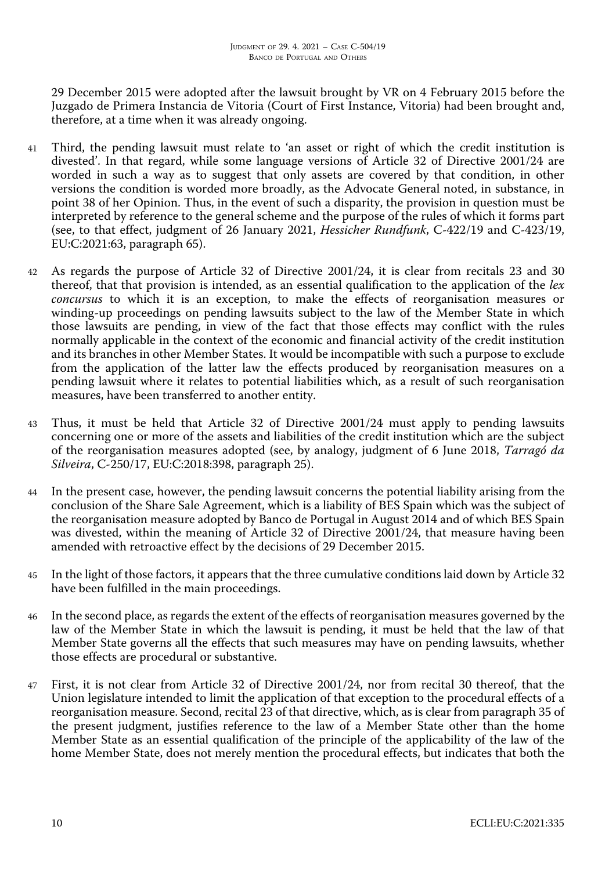29 December 2015 were adopted after the lawsuit brought by VR on 4 February 2015 before the Juzgado de Primera Instancia de Vitoria (Court of First Instance, Vitoria) had been brought and, therefore, at a time when it was already ongoing.

- 41 Third, the pending lawsuit must relate to 'an asset or right of which the credit institution is divested'. In that regard, while some language versions of Article 32 of Directive 2001/24 are worded in such a way as to suggest that only assets are covered by that condition, in other versions the condition is worded more broadly, as the Advocate General noted, in substance, in point 38 of her Opinion. Thus, in the event of such a disparity, the provision in question must be interpreted by reference to the general scheme and the purpose of the rules of which it forms part (see, to that effect, judgment of 26 January 2021, *Hessicher Rundfunk*, C-422/19 and C-423/19, EU:C:2021:63, paragraph 65).
- 42 As regards the purpose of Article 32 of Directive 2001/24, it is clear from recitals 23 and 30 thereof, that that provision is intended, as an essential qualification to the application of the *lex concursus* to which it is an exception, to make the effects of reorganisation measures or winding-up proceedings on pending lawsuits subject to the law of the Member State in which those lawsuits are pending, in view of the fact that those effects may conflict with the rules normally applicable in the context of the economic and financial activity of the credit institution and its branches in other Member States. It would be incompatible with such a purpose to exclude from the application of the latter law the effects produced by reorganisation measures on a pending lawsuit where it relates to potential liabilities which, as a result of such reorganisation measures, have been transferred to another entity.
- 43 Thus, it must be held that Article 32 of Directive 2001/24 must apply to pending lawsuits concerning one or more of the assets and liabilities of the credit institution which are the subject of the reorganisation measures adopted (see, by analogy, judgment of 6 June 2018, *Tarragó da Silveira*, C-250/17, EU:C:2018:398, paragraph 25).
- 44 In the present case, however, the pending lawsuit concerns the potential liability arising from the conclusion of the Share Sale Agreement, which is a liability of BES Spain which was the subject of the reorganisation measure adopted by Banco de Portugal in August 2014 and of which BES Spain was divested, within the meaning of Article 32 of Directive 2001/24, that measure having been amended with retroactive effect by the decisions of 29 December 2015.
- 45 In the light of those factors, it appears that the three cumulative conditions laid down by Article 32 have been fulfilled in the main proceedings.
- 46 In the second place, as regards the extent of the effects of reorganisation measures governed by the law of the Member State in which the lawsuit is pending, it must be held that the law of that Member State governs all the effects that such measures may have on pending lawsuits, whether those effects are procedural or substantive.
- 47 First, it is not clear from Article 32 of Directive 2001/24, nor from recital 30 thereof, that the Union legislature intended to limit the application of that exception to the procedural effects of a reorganisation measure. Second, recital 23 of that directive, which, as is clear from paragraph 35 of the present judgment, justifies reference to the law of a Member State other than the home Member State as an essential qualification of the principle of the applicability of the law of the home Member State, does not merely mention the procedural effects, but indicates that both the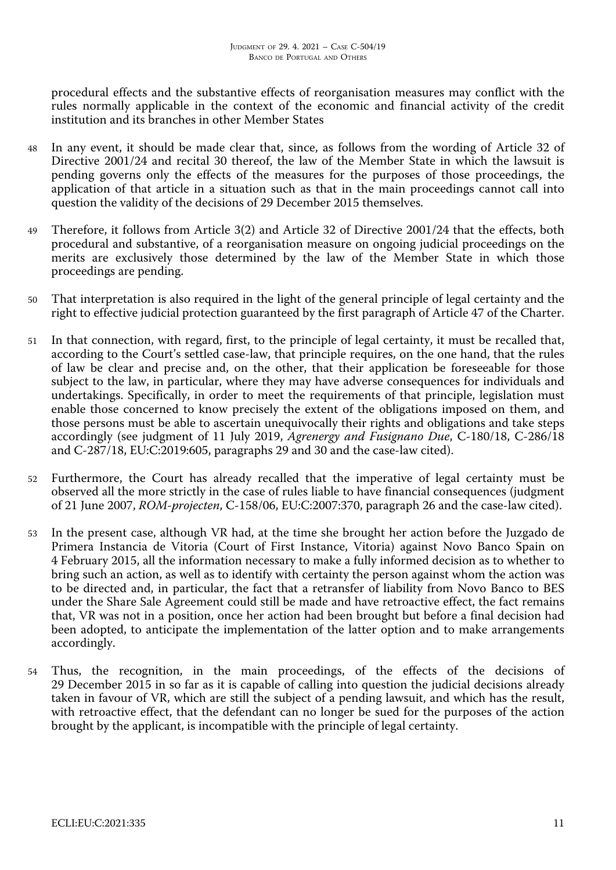procedural effects and the substantive effects of reorganisation measures may conflict with the rules normally applicable in the context of the economic and financial activity of the credit institution and its branches in other Member States

- 48 In any event, it should be made clear that, since, as follows from the wording of Article 32 of Directive 2001/24 and recital 30 thereof, the law of the Member State in which the lawsuit is pending governs only the effects of the measures for the purposes of those proceedings, the application of that article in a situation such as that in the main proceedings cannot call into question the validity of the decisions of 29 December 2015 themselves.
- 49 Therefore, it follows from Article 3(2) and Article 32 of Directive 2001/24 that the effects, both procedural and substantive, of a reorganisation measure on ongoing judicial proceedings on the merits are exclusively those determined by the law of the Member State in which those proceedings are pending.
- 50 That interpretation is also required in the light of the general principle of legal certainty and the right to effective judicial protection guaranteed by the first paragraph of Article 47 of the Charter.
- 51 In that connection, with regard, first, to the principle of legal certainty, it must be recalled that, according to the Court's settled case-law, that principle requires, on the one hand, that the rules of law be clear and precise and, on the other, that their application be foreseeable for those subject to the law, in particular, where they may have adverse consequences for individuals and undertakings. Specifically, in order to meet the requirements of that principle, legislation must enable those concerned to know precisely the extent of the obligations imposed on them, and those persons must be able to ascertain unequivocally their rights and obligations and take steps accordingly (see judgment of 11 July 2019, *Agrenergy and Fusignano Due*, C-180/18, C-286/18 and C-287/18, EU:C:2019:605, paragraphs 29 and 30 and the case-law cited).
- 52 Furthermore, the Court has already recalled that the imperative of legal certainty must be observed all the more strictly in the case of rules liable to have financial consequences (judgment of 21 June 2007, *ROM-projecten*, C-158/06, EU:C:2007:370, paragraph 26 and the case-law cited).
- 53 In the present case, although VR had, at the time she brought her action before the Juzgado de Primera Instancia de Vitoria (Court of First Instance, Vitoria) against Novo Banco Spain on 4 February 2015, all the information necessary to make a fully informed decision as to whether to bring such an action, as well as to identify with certainty the person against whom the action was to be directed and, in particular, the fact that a retransfer of liability from Novo Banco to BES under the Share Sale Agreement could still be made and have retroactive effect, the fact remains that, VR was not in a position, once her action had been brought but before a final decision had been adopted, to anticipate the implementation of the latter option and to make arrangements accordingly.
- 54 Thus, the recognition, in the main proceedings, of the effects of the decisions of 29 December 2015 in so far as it is capable of calling into question the judicial decisions already taken in favour of VR, which are still the subject of a pending lawsuit, and which has the result, with retroactive effect, that the defendant can no longer be sued for the purposes of the action brought by the applicant, is incompatible with the principle of legal certainty.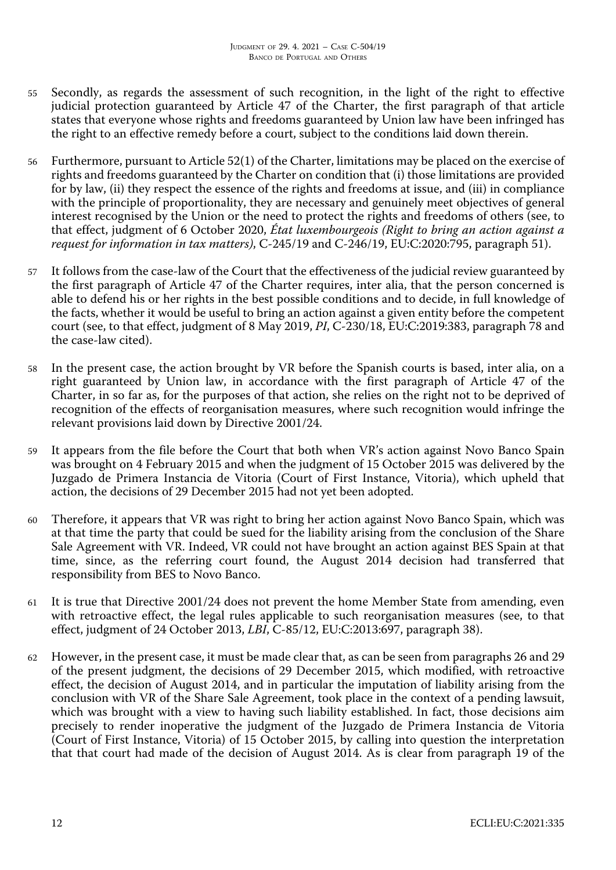- 55 Secondly, as regards the assessment of such recognition, in the light of the right to effective judicial protection guaranteed by Article 47 of the Charter, the first paragraph of that article states that everyone whose rights and freedoms guaranteed by Union law have been infringed has the right to an effective remedy before a court, subject to the conditions laid down therein.
- 56 Furthermore, pursuant to Article 52(1) of the Charter, limitations may be placed on the exercise of rights and freedoms guaranteed by the Charter on condition that (i) those limitations are provided for by law, (ii) they respect the essence of the rights and freedoms at issue, and (iii) in compliance with the principle of proportionality, they are necessary and genuinely meet objectives of general interest recognised by the Union or the need to protect the rights and freedoms of others (see, to that effect, judgment of 6 October 2020, *État luxembourgeois (Right to bring an action against a request for information in tax matters)*, C-245/19 and C-246/19, EU:C:2020:795, paragraph 51).
- 57 It follows from the case-law of the Court that the effectiveness of the judicial review guaranteed by the first paragraph of Article 47 of the Charter requires, inter alia, that the person concerned is able to defend his or her rights in the best possible conditions and to decide, in full knowledge of the facts, whether it would be useful to bring an action against a given entity before the competent court (see, to that effect, judgment of 8 May 2019, *PI*, C-230/18, EU:C:2019:383, paragraph 78 and the case-law cited).
- 58 In the present case, the action brought by VR before the Spanish courts is based, inter alia, on a right guaranteed by Union law, in accordance with the first paragraph of Article 47 of the Charter, in so far as, for the purposes of that action, she relies on the right not to be deprived of recognition of the effects of reorganisation measures, where such recognition would infringe the relevant provisions laid down by Directive 2001/24.
- 59 It appears from the file before the Court that both when VR's action against Novo Banco Spain was brought on 4 February 2015 and when the judgment of 15 October 2015 was delivered by the Juzgado de Primera Instancia de Vitoria (Court of First Instance, Vitoria), which upheld that action, the decisions of 29 December 2015 had not yet been adopted.
- 60 Therefore, it appears that VR was right to bring her action against Novo Banco Spain, which was at that time the party that could be sued for the liability arising from the conclusion of the Share Sale Agreement with VR. Indeed, VR could not have brought an action against BES Spain at that time, since, as the referring court found, the August 2014 decision had transferred that responsibility from BES to Novo Banco.
- 61 It is true that Directive 2001/24 does not prevent the home Member State from amending, even with retroactive effect, the legal rules applicable to such reorganisation measures (see, to that effect, judgment of 24 October 2013, *LBI*, C-85/12, EU:C:2013:697, paragraph 38).
- 62 However, in the present case, it must be made clear that, as can be seen from paragraphs 26 and 29 of the present judgment, the decisions of 29 December 2015, which modified, with retroactive effect, the decision of August 2014, and in particular the imputation of liability arising from the conclusion with VR of the Share Sale Agreement, took place in the context of a pending lawsuit, which was brought with a view to having such liability established. In fact, those decisions aim precisely to render inoperative the judgment of the Juzgado de Primera Instancia de Vitoria (Court of First Instance, Vitoria) of 15 October 2015, by calling into question the interpretation that that court had made of the decision of August 2014. As is clear from paragraph 19 of the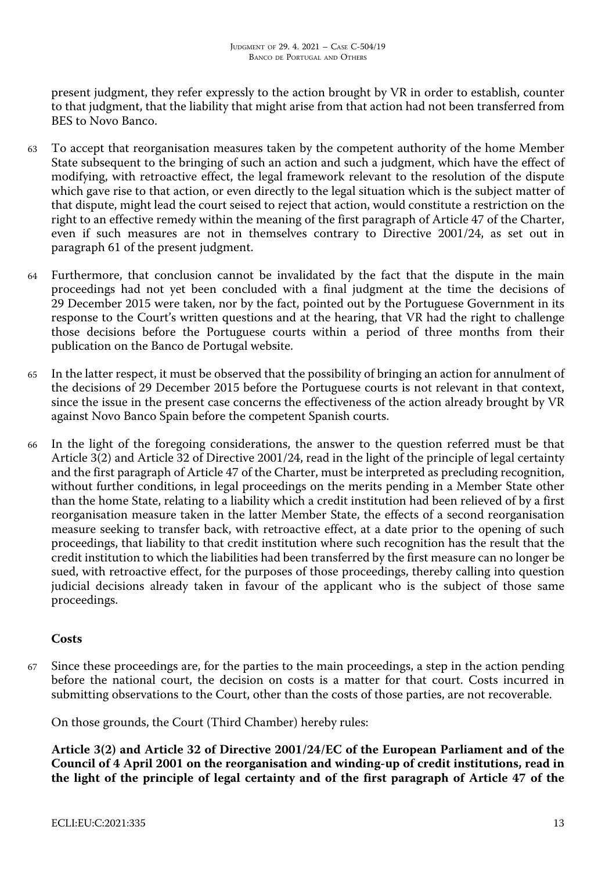present judgment, they refer expressly to the action brought by VR in order to establish, counter to that judgment, that the liability that might arise from that action had not been transferred from BES to Novo Banco.

- 63 To accept that reorganisation measures taken by the competent authority of the home Member State subsequent to the bringing of such an action and such a judgment, which have the effect of modifying, with retroactive effect, the legal framework relevant to the resolution of the dispute which gave rise to that action, or even directly to the legal situation which is the subject matter of that dispute, might lead the court seised to reject that action, would constitute a restriction on the right to an effective remedy within the meaning of the first paragraph of Article 47 of the Charter, even if such measures are not in themselves contrary to Directive 2001/24, as set out in paragraph 61 of the present judgment.
- 64 Furthermore, that conclusion cannot be invalidated by the fact that the dispute in the main proceedings had not yet been concluded with a final judgment at the time the decisions of 29 December 2015 were taken, nor by the fact, pointed out by the Portuguese Government in its response to the Court's written questions and at the hearing, that VR had the right to challenge those decisions before the Portuguese courts within a period of three months from their publication on the Banco de Portugal website.
- 65 In the latter respect, it must be observed that the possibility of bringing an action for annulment of the decisions of 29 December 2015 before the Portuguese courts is not relevant in that context, since the issue in the present case concerns the effectiveness of the action already brought by VR against Novo Banco Spain before the competent Spanish courts.
- 66 In the light of the foregoing considerations, the answer to the question referred must be that Article 3(2) and Article 32 of Directive 2001/24, read in the light of the principle of legal certainty and the first paragraph of Article 47 of the Charter, must be interpreted as precluding recognition, without further conditions, in legal proceedings on the merits pending in a Member State other than the home State, relating to a liability which a credit institution had been relieved of by a first reorganisation measure taken in the latter Member State, the effects of a second reorganisation measure seeking to transfer back, with retroactive effect, at a date prior to the opening of such proceedings, that liability to that credit institution where such recognition has the result that the credit institution to which the liabilities had been transferred by the first measure can no longer be sued, with retroactive effect, for the purposes of those proceedings, thereby calling into question judicial decisions already taken in favour of the applicant who is the subject of those same proceedings.

## **Costs**

67 Since these proceedings are, for the parties to the main proceedings, a step in the action pending before the national court, the decision on costs is a matter for that court. Costs incurred in submitting observations to the Court, other than the costs of those parties, are not recoverable.

On those grounds, the Court (Third Chamber) hereby rules:

**Article 3(2) and Article 32 of Directive 2001/24/EC of the European Parliament and of the Council of 4 April 2001 on the reorganisation and winding-up of credit institutions, read in the light of the principle of legal certainty and of the first paragraph of Article 47 of the**